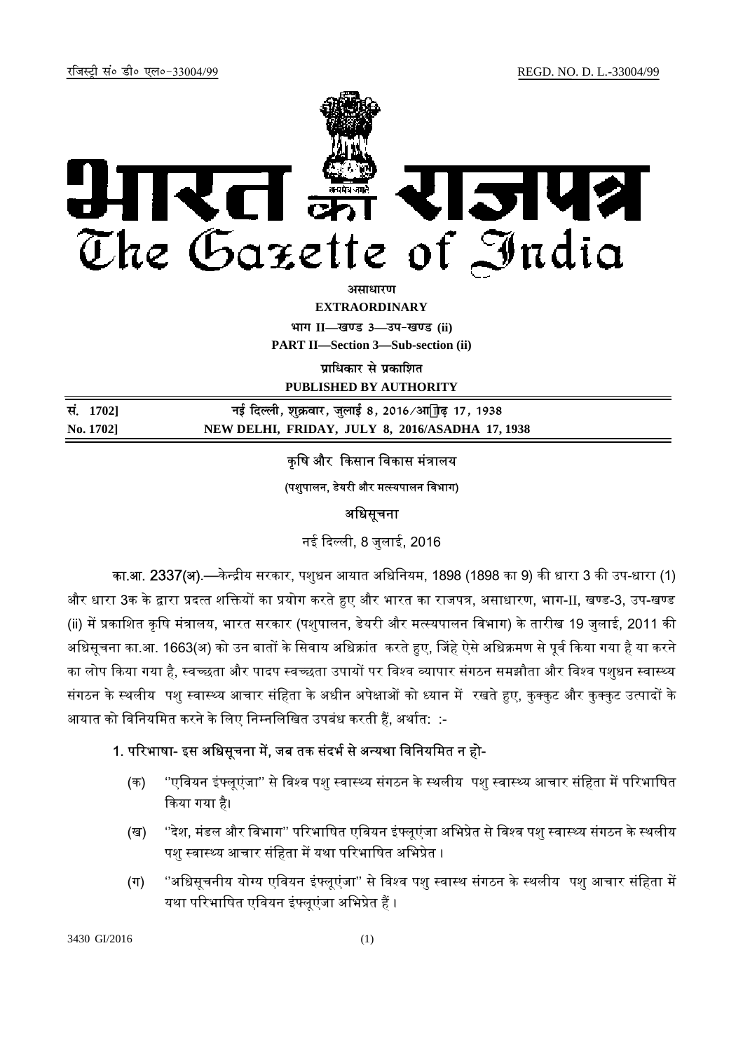

असाधा**र**ण

**EXTRAORDINARY**

**Hkkx II—[k.M 3—mi&[k.M (ii)**

**PART II—Section 3—Sub-section (ii)** 

**पाधिकार से पका**शित

**PUBLISHED BY AUTHORITY**

| सं. 1702] | नई दिल्ली, शुक्रवार, जुलाई 8, 2016∕आ"ाढ़ 17, 1938 |
|-----------|---------------------------------------------------|
| No. 1702] | NEW DELHI, FRIDAY, JULY 8, 2016/ASADHA 17, 1938   |

कृषि और किसान विकास मंत्रालय

(पशुपालन, डेयरी और मत्स्यपालन विभाग)

### अधिसूचना

नई ᳰद᭨ली, 8 जुलाई, 2016

का.आ. 2337(अ).—केन्द्रीय सरकार, पशुधन आयात अधिनियम, 1898 (1898 का 9) की धारा 3 की उप-धारा (1) और धारा 3क के द्वारा प्रदत्त शक्तियों का प्रयोग करते हुए और भारत का राजपत्र, असाधारण, भाग-II, खण्ड-3, उप-खण्ड (ii) में प्रकाशित कृषि मंत्रालय, भारत सरकार (पशुपालन, डेयरी और मत्स्यपालन विभाग) के तारीख 19 जुलाई, 2011 की अधिसूचना का.आ. 1663(अ) को उन बातों के सिवाय अधिक्रांत करते हुए, जिंहे ऐसे अधिक्रमण से पूर्व किया गया है या करने का लोप किया गया है, स्वच्छता और पादप स्वच्छता उपायों पर विश्व व्यापार संगठन समझौता और विश्व पशुधन स्वास्थ्य संगठन के स्थलीय पशु स्वास्थ्य आचार संहिता के अधीन अपेक्षाओं को ध्यान में रखते हुए, कुक्कुट और कुक्कुट उत्पादों के आयात को विनियमित करने के लिए निम्नलिखित उपबंध करती हैं, अर्थात: :-

# 1. परिभाषा- इस अधिसूचना में, जब तक संदर्भ से अन्यथा विनियमित न हो-

- (क) ''एवियन इंफ्लूएंजा'' से विश्व पशु स्वास्थ्य संगठन के स्थलीय पशु स्वास्थ्य आचार संहिता में परिभाषित ᳰकया गया है।
- (ख) ''देश, मंडल और विभाग'' परिभाषित एवियन इंफ्लूएंजा अभिप्रेत से विश्व पशु स्वास्थ्य संगठन के स्थलीय पशु स्वास्थ्य आचार संहिता में यथा परिभाषित अभिप्रेत ।
- (ग) ''अधिसूचनीय योग्य एवियन इंफ्लूएंजा'' से विश्व पशु स्वास्थ संगठन के स्थलीय पशु आचार संहिता में यथा परिभाषित एवियन इंफ्लूएंजा अभिप्रेत हैं ।

3430 GI/2016 (1)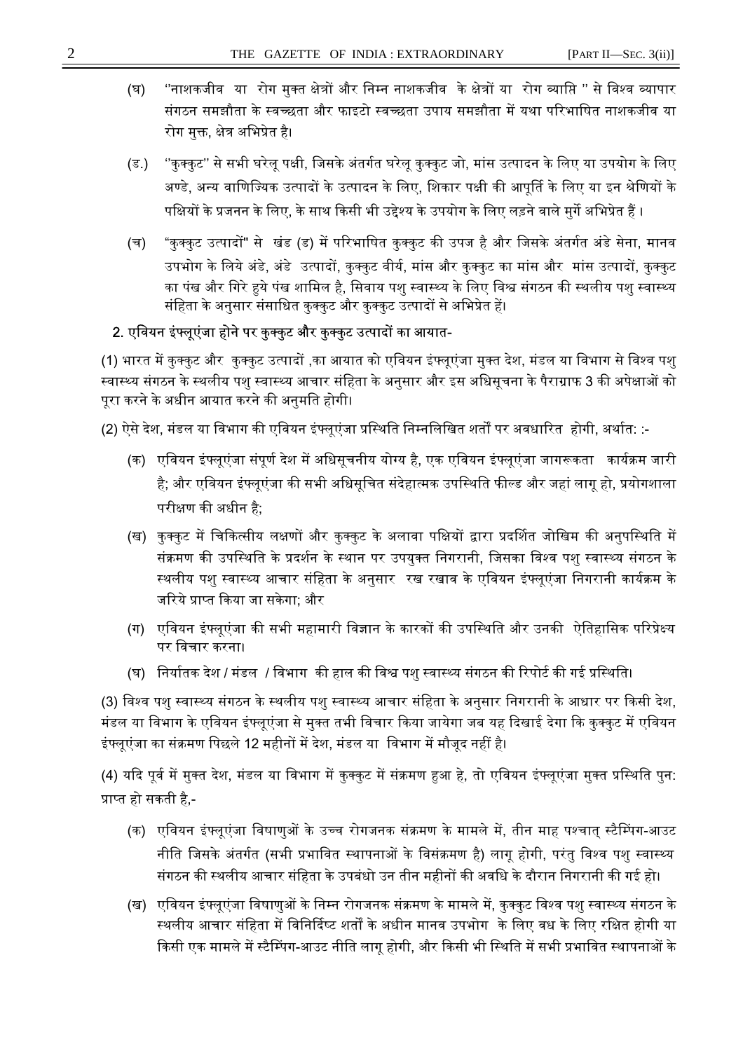- (घ) ''नाशकजीव या रोग मुक्त क्षेत्रों और निम्न नाशकजीव के क्षेत्रों या रोग व्याप्ति '' से विश्व व्यापार संगठन समझौता के स्वच्छता और फाइटो स्वच्छता उपाय समझौता में यथा परिभाषित नाशकजीव या रोग मक्त. क्षेत्र अभिप्रेत है।
- (ड.) ''कुक्कुट'' से सभी घरेलू पक्षी, जिसके अंतर्गत घरेलू कुक्कुट जो, मांस उत्पादन के लिए या उपयोग के लिए अण्डे, अन्य वाणिज्यिक उत्पादों के उत्पादन के लिए, शिकार पक्षी की आपर्ति के लिए या इन श्रेणियों के पक्षियों के प्रजनन के लिए, के साथ किसी भी उद्देश्य के उपयोग के लिए लड़ने वाले मुर्गे अभिप्रेत हैं ।
- (च) "कुक्कुट उत्पादों" से खंड (ड) में परिभाषित कुक्कुट की उपज है और जिसके अंतर्गत अंडे सेना, मानव उपभोग के लिये अंडे, अंडे उत्पादों, कुक्कुट वीर्य, मांस और कुक्कुट का मांस और मांस उत्पादों, कुक्कुट का पंख और गिरे हुये पंख शामिल है, सिवाय पशु स्वास्थ्य के लिए विश्व संगठन की स्थलीय पशु स्वास्थ्य संहिता के अनुसार संसाधित कुक्कुट और कुक्कुट उत्पादों से अभिप्रेत हें।

# 2. एवियन इंफ्लूएंजा होने पर कुक्कुट और कुक्कुट उत्पादों का आयात-

(1) भारत में कुक्कुट और कुक्कुट उत्पादों ,का आयात को एवियन इंफ्लूएंजा मुक्त देश, मंडल या विभाग से विश्व पशु स्वास्थ्य संगठन के स्थलीय पशु स्वास्थ्य आचार संहिता के अनुसार और इस अधिसूचना के पैराग्राफ 3 की अपेक्षाओं को पूरा करने के अधीन आयात करने की अनुमति होगी।

(2) ऐसे देश, मंडल या विभाग की एवियन इंफ्लूएंजा प्रस्थिति निम्नलिखित शर्तों पर अवधारित होगी, अर्थात: :-

- (क) एवियन इंफ्लूएंजा संपूर्ण देश में अधिसूचनीय योग्य है, एक एवियन इंफ्लूएंजा जागरूकता कार्यक्रम जारी है; और एवियन इंफ्लूएंजा की सभी अधिसूचित संदेहात्मक उपस्थिति फील्ड और जहां लागू हो, प्रयोगशाला परीक्षण की अधीन है;
- (ख) कुक्कुट में चिकित्सीय लक्षणों और कुक्कुट के अलावा पक्षियों द्वारा प्रदर्शित जोखिम की अनुपस्थिति में संक्रमण की उपस्थिति के प्रदर्शन के स्थान पर उपयुक्त निगरानी, जिसका विश्व पशु स्वास्थ्य संगठन के स्थलीय पशु स्वास्थ्य आचार संहिता के अनुसार रख रखाव के एवियन इंफ्लूएंजा निगरानी कार्यक्रम के जरिये प्राप्त किया जा सकेगा; और
- (ग) एवियन इंफ्लूएंजा की सभी महामारी विज्ञान के कारकों की उपस्थिति और उनकी ऐतिहासिक परिप्रेक्ष्य पर विचार करना।
- (घ) निर्यातक देश / मंडल / विभाग की हाल की विश्व पशु स्वास्थ्य संगठन की रिपोर्ट की गई प्रस्थिति।

(3) विश्व पशु स्वास्थ्य संगठन के स्थलीय पशु स्वास्थ्य आचार संहिता के अनुसार निगरानी के आधार पर किसी देश, मंडल या विभाग के एवियन इंफ्लूएंजा से मुक्त तभी विचार किया जायेगा जब यह दिखाई देगा कि कुक्कुट में एवियन इंफ्लूएंजा का संक्रमण पिछले 12 महीनों में देश, मंडल या विभाग में मौजूद नहीं है।

(4) यदि पूर्व में मुक्त देश, मंडल या विभाग में कुक्कुट में संक्रमण हुआ हे, तो एवियन इंफ्लूएंजा मुक्त प्रस्थिति पुन: प्राप्त हो सकती है.-

- (क) एवियन इंफ्लूएंजा विषाणुओं के उच्च रोगजनक संक्रमण के मामले में, तीन माह पश्चात् स्टैम्पिंग-आउट नीति जिसके अंतर्गत (सभी प्रभावित स्थापनाओं के विसंक्रमण है) लागू होगी, परंतु विश्व पशु स्वास्थ्य संगठन की स्थलीय आचार संहिता के उपबंधो उन तीन महीनों की अवधि के दौरान निगरानी की गई हो।
- (ख) एवियन इंफ्लूएंजा विषाणुओं के निम्न रोगजनक संक्रमण के मामले में, कुक्कुट विश्व पशु स्वास्थ्य संगठन के स्थलीय आचार संहिता में विनिर्दिष्ट शर्तों के अधीन मानव उपभोग के लिए वध के लिए रक्षित होगी या किसी एक मामले में स्टैम्पिंग-आउट नीति लागू होगी, और किसी भी स्थिति में सभी प्रभावित स्थापनाओं के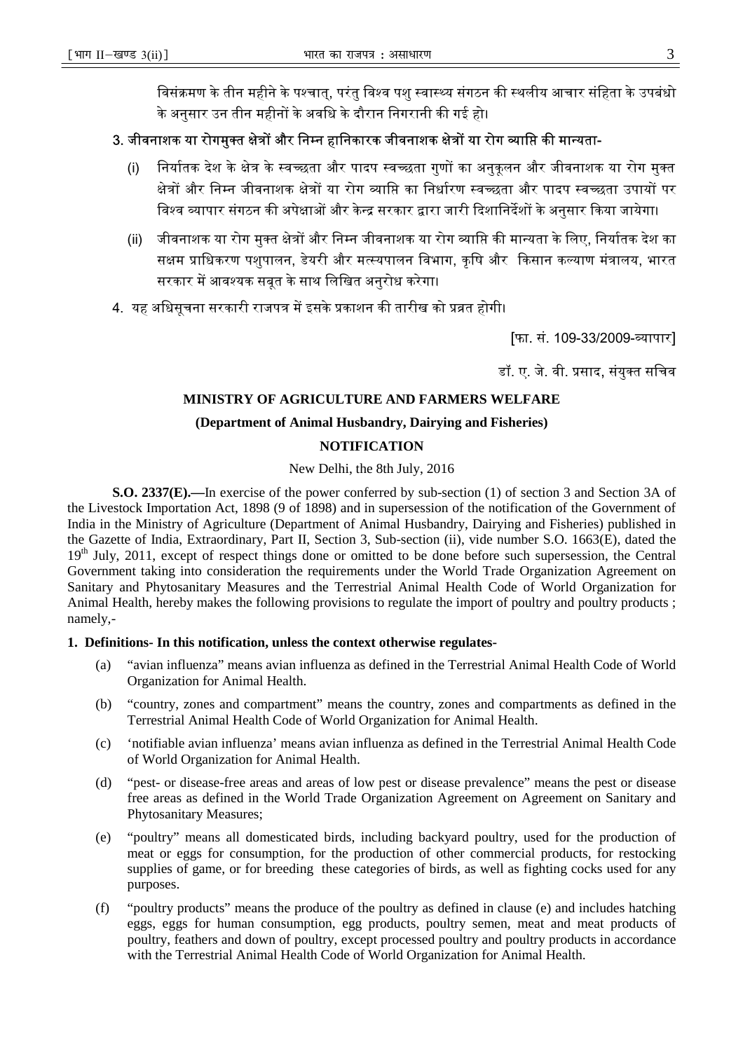विसंक्रमण के तीन महीने के पश्चात्, परंतु विश्व पशु स्वास्थ्य संगठन की स्थलीय आचार संहिता के उपबंधो के अनुसार उन तीन महीनों के अवधि के दौरान निगरानी की गई हो।

# 3. जीवनाशक या रोगमुक्त क्षेत्रों और निम्न हानिकारक जीवनाशक क्षेत्रों या रोग व्याप्ति की मान्यता-

- (i) निर्यातक देश के क्षेत्र के स्वच्छता और पादप स्वच्छता गुणों का अनुकूलन और जीवनाशक या रोग मुक्त क्षेत्रों और निम्न जीवनाशक क्षेत्रों या रोग व्याप्ति का निर्धारण स्वच्छता और पादप स्वच्छता उपायों पर विश्व व्यापार संगठन की अपेक्षाओं और केन्द्र सरकार द्वारा जारी दिशानिर्देशों के अनुसार किया जायेगा।
- (ii) जीवनाशक या रोग मुक्त क्षेत्रों और निम्न जीवनाशक या रोग व्याप्ति की मान्यता के लिए, निर्यातक देश का सक्षम प्राधिकरण पशुपालन, डेयरी और मत्स्यपालन विभाग, कृषि और किसान कल्याण मंत्रालय, भारत सरकार में आवश्यक सबत के साथ लिखित अनुरोध करेगा।
- 4. यह अधिसूचना सरकारी राजपत्र में इसके प्रकाशन की तारीख को प्रव्रत होगी।

[फा. सं. 109-33/2009-व्यापार]

डॉ. ए. जे. वी. प्रसाद, संयुक्त सचिव

## **MINISTRY OF AGRICULTURE AND FARMERS WELFARE**

### **(Department of Animal Husbandry, Dairying and Fisheries)**

## **NOTIFICATION**

New Delhi, the 8th July, 2016

**S.O. 2337(E).—**In exercise of the power conferred by sub-section (1) of section 3 and Section 3A of the Livestock Importation Act, 1898 (9 of 1898) and in supersession of the notification of the Government of India in the Ministry of Agriculture (Department of Animal Husbandry, Dairying and Fisheries) published in the Gazette of India, Extraordinary, Part II, Section 3, Sub-section (ii), vide number S.O. 1663(E), dated the  $19<sup>th</sup>$  July, 2011, except of respect things done or omitted to be done before such supersession, the Central Government taking into consideration the requirements under the World Trade Organization Agreement on Sanitary and Phytosanitary Measures and the Terrestrial Animal Health Code of World Organization for Animal Health, hereby makes the following provisions to regulate the import of poultry and poultry products ; namely,-

#### **1. Definitions- In this notification, unless the context otherwise regulates-**

- (a) "avian influenza" means avian influenza as defined in the Terrestrial Animal Health Code of World Organization for Animal Health.
- (b) "country, zones and compartment" means the country, zones and compartments as defined in the Terrestrial Animal Health Code of World Organization for Animal Health.
- (c) 'notifiable avian influenza' means avian influenza as defined in the Terrestrial Animal Health Code of World Organization for Animal Health.
- (d) "pest- or disease-free areas and areas of low pest or disease prevalence" means the pest or disease free areas as defined in the World Trade Organization Agreement on Agreement on Sanitary and Phytosanitary Measures;
- (e) "poultry" means all domesticated birds, including backyard poultry, used for the production of meat or eggs for consumption, for the production of other commercial products, for restocking supplies of game, or for breeding these categories of birds, as well as fighting cocks used for any purposes.
- (f) "poultry products" means the produce of the poultry as defined in clause (e) and includes hatching eggs, eggs for human consumption, egg products, poultry semen, meat and meat products of poultry, feathers and down of poultry, except processed poultry and poultry products in accordance with the Terrestrial Animal Health Code of World Organization for Animal Health.